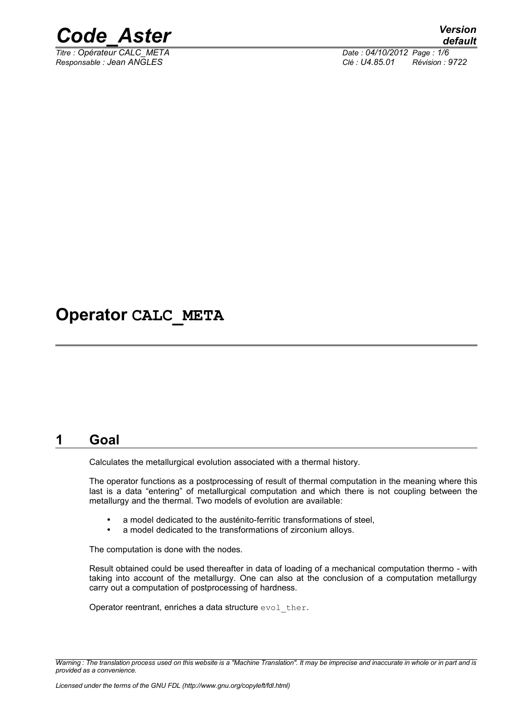

*Titre : Opérateur CALC\_META Date : 04/10/2012 Page : 1/6 Responsable : Jean ANGLES Clé : U4.85.01 Révision : 9722*

## **Operator CALC\_META**

### **1 Goal**

Calculates the metallurgical evolution associated with a thermal history.

The operator functions as a postprocessing of result of thermal computation in the meaning where this last is a data "entering" of metallurgical computation and which there is not coupling between the metallurgy and the thermal. Two models of evolution are available:

- a model dedicated to the austénito-ferritic transformations of steel,
- a model dedicated to the transformations of zirconium alloys.

The computation is done with the nodes.

Result obtained could be used thereafter in data of loading of a mechanical computation thermo - with taking into account of the metallurgy. One can also at the conclusion of a computation metallurgy carry out a computation of postprocessing of hardness.

Operator reentrant, enriches a data structure evol ther.

*Warning : The translation process used on this website is a "Machine Translation". It may be imprecise and inaccurate in whole or in part and is provided as a convenience.*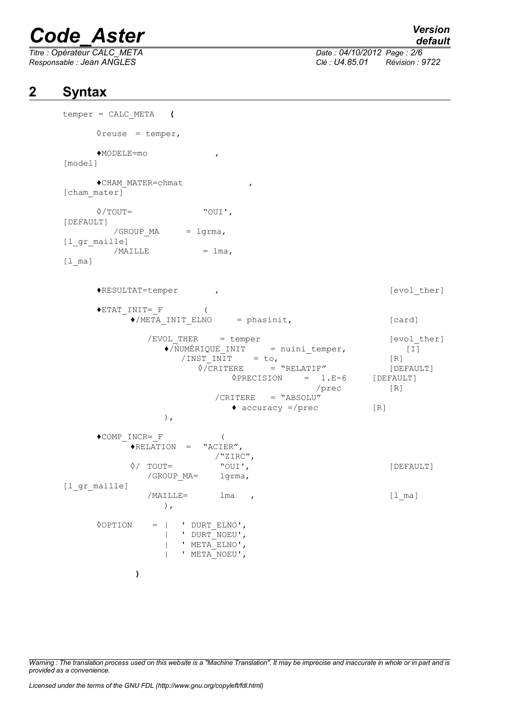*Titre : Opérateur CALC\_META Date : 04/10/2012 Page : 2/6*

## *default*

*Responsable : Jean ANGLES Clé : U4.85.01 Révision : 9722*

### **2 Syntax**

```
temper = CALC_META (
     \Diamondreuse = temper,
     ♦MODELE=mo ,
[model] 
     ♦CHAM_MATER=chmat ,
[cham mater]
     ◊/TOUT= "OUI',
[DEFAULT]
        /GROUP MA = lgrma,
[l_gr_maille]
        /MAILLE = lma,
[1 ma]
     ♦RESULTAT=temper , [evol_ther]
     \blacklozengeETAT INIT= F (
           \bullet/META_INIT_ELNO = phasinit, [card]
             /EVOL_THER = temper [evol_ther]<br>
\bigcirc/NUMÉRIQUE INIT = nuini temper, [I]
                \sqrt{\text{NUMÉRIQUE}} INIT = nuini temper, [I]
                   /INST_INIT = to, [R]\Diamond/CRITERE = "RELATIF" [DEFAULT]
                           \DiamondPRECISION = 1.E-6 [DEFAULT]
                                         /prec [R]
                        /CRITERE = "ABSOLU"
                           \bullet accuracy =/prec [R]
                ),
     \bullet COMP INCR= F (
           ♦RELATION = "ACIER",
                        /"ZIRC",<br>"OUI',
           ◊/ TOUT= "OUI', [DEFAULT]
             /GROUP_MA= lgrma,
[l_gr_maille]
             /MAILLE= lma , [l_ma]
                ),
     ◊OPTION = | ' DURT_ELNO',
                | ' DURT_NOEU',
                | ' META_ELNO',
                | ' META<sup>NOEU'</sup>,
           )
```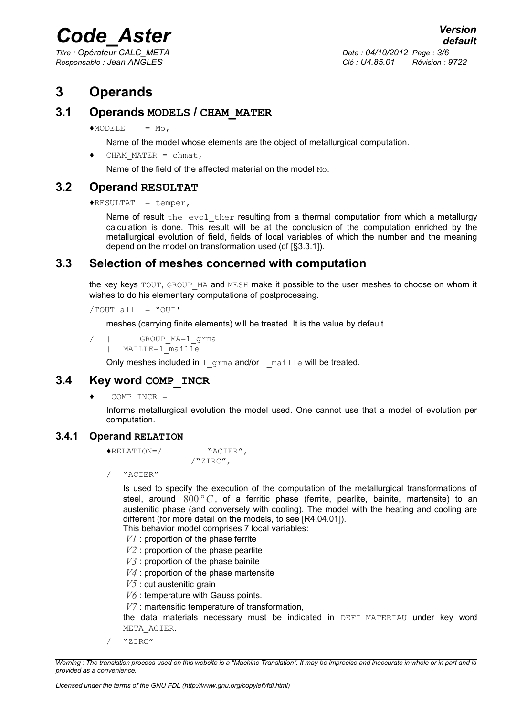*Titre : Opérateur CALC\_META Date : 04/10/2012 Page : 3/6*

*Responsable : Jean ANGLES Clé : U4.85.01 Révision : 9722*

### **3 Operands**

#### **3.1 Operands MODELS / CHAM\_MATER**

 $MODELE = MO$ .

Name of the model whose elements are the object of metallurgical computation.

CHAM MATER = chmat,

Name of the field of the affected material on the model Mo.

#### **3.2 Operand RESULTAT**

 $\triangle$ RESULTAT = temper,

Name of result the evol ther resulting from a thermal computation from which a metallurgy calculation is done. This result will be at the conclusion of the computation enriched by the metallurgical evolution of field, fields of local variables of which the number and the meaning depend on the model on transformation used (cf [§3.3.1]).

#### **3.3 Selection of meshes concerned with computation**

the key keys TOUT, GROUP MA and MESH make it possible to the user meshes to choose on whom it wishes to do his elementary computations of postprocessing.

/TOUT all = "OUI'

meshes (carrying finite elements) will be treated. It is the value by default.

```
/ | GROUP_MA=l_grma
     MAILLE=1 maille
```
Only meshes included in  $1$  grma and/or  $1$  maille will be treated.

#### **3.4 Key word COMP\_INCR**

 $\bullet$  COMP INCR =

Informs metallurgical evolution the model used. One cannot use that a model of evolution per computation.

#### **3.4.1 Operand RELATION**

```
♦RELATION=/ "ACIER",
```
/"ZIRC",

/ "ACIER"

Is used to specify the execution of the computation of the metallurgical transformations of steel, around  $800\degree C$ , of a ferritic phase (ferrite, pearlite, bainite, martensite) to an austenitic phase (and conversely with cooling). The model with the heating and cooling are different (for more detail on the models, to see [R4.04.01]).

This behavior model comprises 7 local variables:

- *V1* : proportion of the phase ferrite
- *V2* : proportion of the phase pearlite
- *V3* : proportion of the phase bainite
- *V4* : proportion of the phase martensite
- *V5* : cut austenitic grain
- *V6* : temperature with Gauss points.
- *V7* : martensitic temperature of transformation,

the data materials necessary must be indicated in DEFI MATERIAU under key word META\_ACIER.

/ "ZIRC"

*Warning : The translation process used on this website is a "Machine Translation". It may be imprecise and inaccurate in whole or in part and is provided as a convenience.*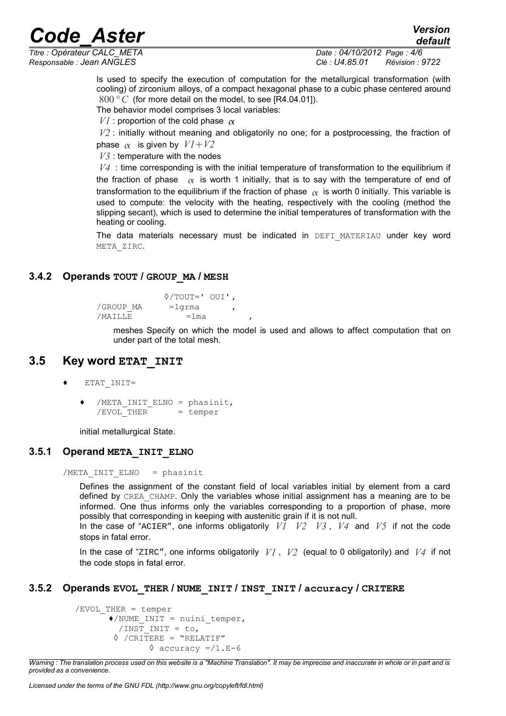*Titre : Opérateur CALC\_META Date : 04/10/2012 Page : 4/6 Responsable : Jean ANGLES Clé : U4.85.01 Révision : 9722*

*default*

Is used to specify the execution of computation for the metallurgical transformation (with cooling) of zirconium alloys, of a compact hexagonal phase to a cubic phase centered around 800*° C* (for more detail on the model, to see [R4.04.01]).

The behavior model comprises 3 local variables:

*V1* : proportion of the cold phase  $\alpha$ 

*V2* : initially without meaning and obligatorily no one; for a postprocessing, the fraction of phase  $\alpha$  is given by  $VI + V2$ 

*V3* : temperature with the nodes

*V4* : time corresponding is with the initial temperature of transformation to the equilibrium if the fraction of phase  $\alpha$  is worth 1 initially, that is to say with the temperature of end of transformation to the equilibrium if the fraction of phase  $\alpha$  is worth 0 initially. This variable is used to compute: the velocity with the heating, respectively with the cooling (method the slipping secant), which is used to determine the initial temperatures of transformation with the heating or cooling.

The data materials necessary must be indicated in DEFI MATERIAU under key word META\_ZIRC.

#### **3.4.2 Operands TOUT / GROUP\_MA / MESH**

◊/TOUT=' OUI', /GROUP MA =lgrma  $/MAILLE$  =lma

> meshes Specify on which the model is used and allows to affect computation that on under part of the total mesh.

#### **3.5 Key word ETAT\_INIT**

- ♦ ETAT\_INIT=
	- /META INIT ELNO = phasinit,  $/$ EVOL THER = temper

initial metallurgical State.

#### **3.5.1 Operand META\_INIT\_ELNO**

/META\_INIT\_ELNO = phasinit

Defines the assignment of the constant field of local variables initial by element from a card defined by CREA\_CHAMP. Only the variables whose initial assignment has a meaning are to be informed. One thus informs only the variables corresponding to a proportion of phase, more possibly that corresponding in keeping with austenitic grain if it is not null.

In the case of "ACIER", one informs obligatorily *V1 V2 V3* , *V4* and *V5* if not the code stops in fatal error.

In the case of "ZIRC", one informs obligatorily *V1* , *V2* (equal to 0 obligatorily) and *V4* if not the code stops in fatal error.

#### **3.5.2 Operands EVOL\_THER / NUME\_INIT / INST\_INIT / accuracy / CRITERE**

```
/EVOL_THER = temper
        \triangle/NUME INIT = nuini temper,
          /INST INIT = to,
         \Diamond /CRITERE = "RELATIF"
                  \Diamond accuracy =/1.E-6
```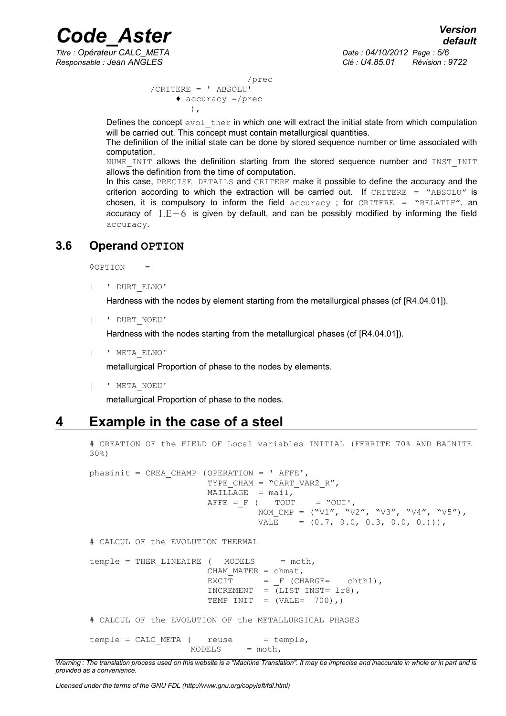*Titre : Opérateur CALC\_META Date : 04/10/2012 Page : 5/6*

*default*

*Responsable : Jean ANGLES Clé : U4.85.01 Révision : 9722*

```
 /prec
 /CRITERE = ' ABSOLU'
       \triangleleft accuracy =/prec
           ),
```
Defines the concept  $evol$  ther in which one will extract the initial state from which computation will be carried out. This concept must contain metallurgical quantities.

The definition of the initial state can be done by stored sequence number or time associated with computation.

NUME INIT allows the definition starting from the stored sequence number and INST INIT allows the definition from the time of computation.

In this case, PRECISE DETAILS and CRITERE make it possible to define the accuracy and the criterion according to which the extraction will be carried out. If  $CRITERE = "ABSOLU"$  is chosen, it is compulsory to inform the field  $accuracy$ ; for CRITERE = "RELATIF", an accuracy of  $1.E-6$  is given by default, and can be possibly modified by informing the field accuracy.

#### **3.6 Operand OPTION**

◊OPTION =

| ' DURT\_ELNO'

Hardness with the nodes by element starting from the metallurgical phases (cf [R4.04.01]).

| ' DURT\_NOEU'

Hardness with the nodes starting from the metallurgical phases (cf [R4.04.01]).

| ' META\_ELNO'

metallurgical Proportion of phase to the nodes by elements.

| ' META\_NOEU'

metallurgical Proportion of phase to the nodes.

### **4 Example in the case of a steel**

# CREATION OF the FIELD OF Local variables INITIAL (FERRITE 70% AND BAINITE 30%) phasinit = CREA CHAMP (OPERATION = ' AFFE', TYPE CHAM = "CART VAR2  $R''$ ,  $MAILLAGE = mail,$  $A$ FFE = F ( TOUT = "OUI', NOM\_CMP =  $("V1", "V2", "V3", "V4", "V5")$ , VALE =  $(0.7, 0.0, 0.3, 0.0, 0.$ ))), # CALCUL OF the EVOLUTION THERMAL temple = THER LINEAIRE (  $MODELS$  = moth, CHAM MATER =  $chmat$ ,  $EXCIT = F (CHARGE= chth1),$ INCREMENT =  $(LIST INST= 1r8)$ , TEMP INIT =  $(VALE = 700)$ ,)

# CALCUL OF the EVOLUTION OF the METALLURGICAL PHASES

 $temple = CALC META$  ( reuse = temple,  $MODELS = moth,$